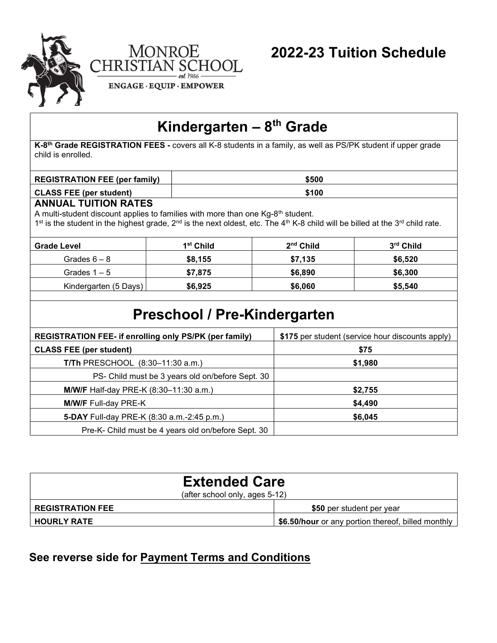

# Kindergarten –  $8<sup>th</sup>$  Grade

K-8<sup>th</sup> Grade REGISTRATION FEES - covers all K-8 students in a family, as well as PS/PK student if upper grade child is enrolled.

| <b>REGISTRATION FEE (per family)</b> | \$500 |
|--------------------------------------|-------|
| <b>CLASS FEE (per student)</b>       | \$100 |

#### ANNUAL TUITION RATES

A multi-student discount applies to families with more than one Kg-8<sup>th</sup> student.

1<sup>st</sup> is the student in the highest grade, 2<sup>nd</sup> is the next oldest, etc. The 4<sup>th</sup> K-8 child will be billed at the 3<sup>rd</sup> child rate.

| Grade Level           | 1 <sup>st</sup> Child | $2nd$ Child | 3 <sup>rd</sup> Child |
|-----------------------|-----------------------|-------------|-----------------------|
| Grades $6 - 8$        | \$8,155               | \$7,135     | \$6,520               |
| Grades $1 - 5$        | \$7,875               | \$6,890     | \$6,300               |
| Kindergarten (5 Days) | \$6,925               | \$6,060     | \$5,540               |
|                       |                       |             |                       |

## Preschool / Pre-Kindergarten

| <b>REGISTRATION FEE- if enrolling only PS/PK (per family)</b> | \$175 per student (service hour discounts apply) |
|---------------------------------------------------------------|--------------------------------------------------|
| <b>CLASS FEE (per student)</b>                                | \$75                                             |
| <b>T/Th PRESCHOOL</b> $(8:30-11:30 \text{ a.m.})$             | \$1,980                                          |
| PS- Child must be 3 years old on/before Sept. 30              |                                                  |
| <b>M/W/F</b> Half-day PRE-K (8:30-11:30 a.m.)                 | \$2,755                                          |
| <b>M/W/F Full-day PRE-K</b>                                   | \$4,490                                          |
| <b>5-DAY</b> Full-day PRE-K (8:30 a.m.-2:45 p.m.)             | \$6,045                                          |
| Pre-K- Child must be 4 years old on/before Sept. 30           |                                                  |

| <b>Extended Care</b><br>(after school only, ages 5-12) |                                                    |  |
|--------------------------------------------------------|----------------------------------------------------|--|
| <b>REGISTRATION FEE</b>                                | \$50 per student per year                          |  |
| <b>HOURLY RATE</b>                                     | \$6.50/hour or any portion thereof, billed monthly |  |

### See reverse side for Payment Terms and Conditions